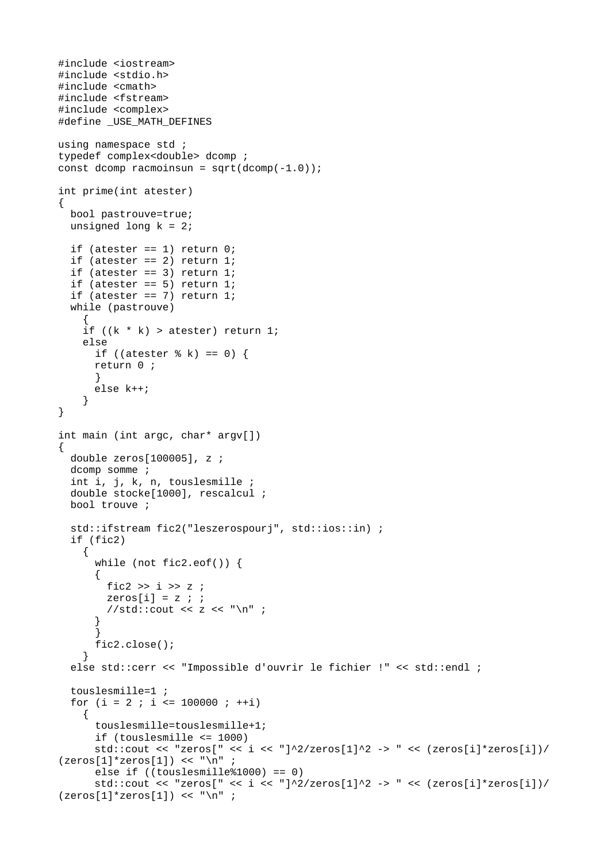```
#include <iostream>
#include <stdio.h>
#include <cmath>
#include <fstream>
#include <complex>
#define _USE_MATH_DEFINES
using namespace std;
typedef complex<double> dcomp ;
const dcomp racmoinsun = sqrt(dcomp(-1.0));
int prime(int atester)
\{bool pastrouve=true;
 unsigned long k = 2;
  if (atester == 1) return 0;
  if (atester == 2) return 1;
  if (atester == 3) return 1;
 if (atester == 5) return 1;
 if (atester == 7) return 1;
 while (pastrouve)
    ſ
    if ((k * k) > \text{atester}) return 1;
    else
      if ((atester % k) == 0) {
      return 0;
      k
      else k++;
    \mathcal{F}\mathcal{E}int main (int argc, char* argv[])
₹
  double zeros[100005], z ;
  dcomp somme ;
  int i, j, k, n, touslesmille;
  double stocke[1000], rescalcul;
 bool trouve;
  std::ifstream fic2("leszerospourj", std::ios::in) ;
  if (fic2)
    ₹
      while (not fic2.eof()) {
      {
        fic2 >> i >> z ;
        zeros[i] = z;
        //std::cout << z << "\n" ;
      \mathcal{F}fic2.close();
    <sup>}</sup>
 else std::cerr << "Impossible d'ouvrir le fichier !" << std::endl ;
  touslesmille=1;
  for (i = 2 ; i \le 100000 ; ++i)€
      touslesmille=touslesmille+1;
      if (touslesmille \le 1000)
      std::cout << "zeros[" << i << "]^2/zeros[1]^2 -> " << (zeros[i]*zeros[i])/
(zeros[1]^*zeros[1]) << "\n";
      else if ((touslesmille%1000) == 0)std::cout << "zeros[" << i << "]^2/zeros[1]^2 -> " << (zeros[i]*zeros[i])/
(zeros[1]^*zeros[1]) << "\n" ;
```